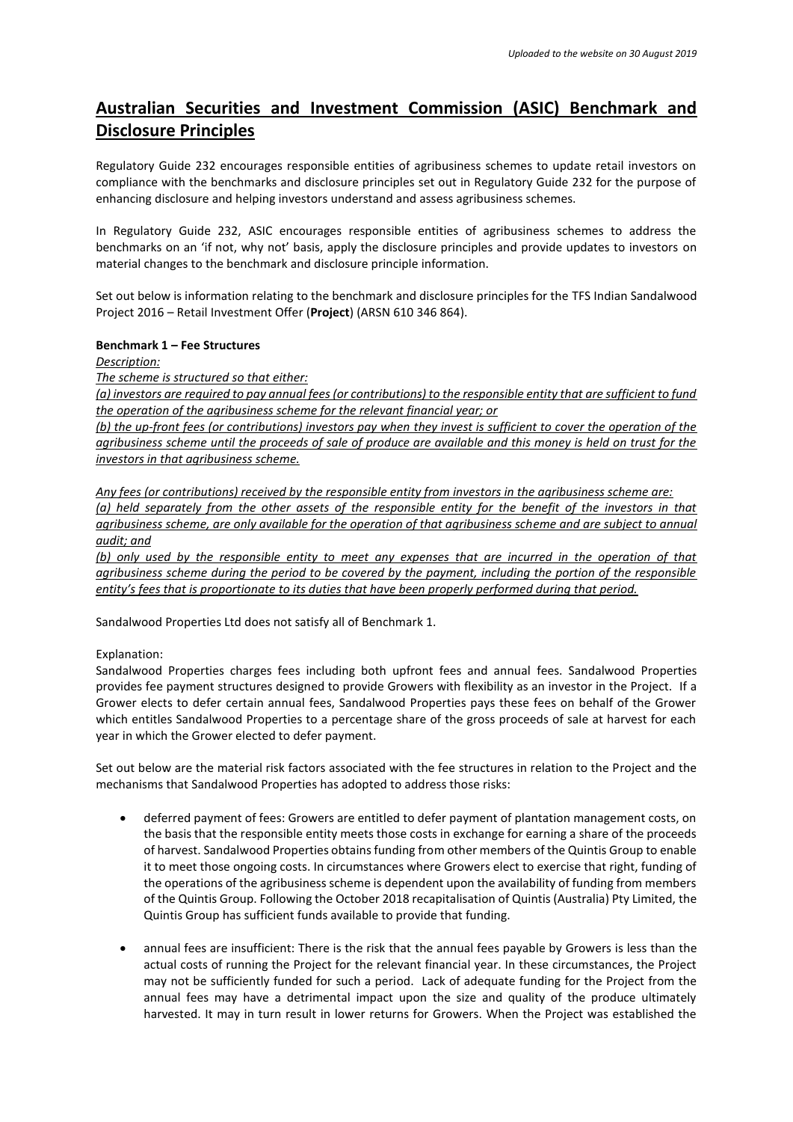# **Australian Securities and Investment Commission (ASIC) Benchmark and Disclosure Principles**

Regulatory Guide 232 encourages responsible entities of agribusiness schemes to update retail investors on compliance with the benchmarks and disclosure principles set out in Regulatory Guide 232 for the purpose of enhancing disclosure and helping investors understand and assess agribusiness schemes.

In Regulatory Guide 232, ASIC encourages responsible entities of agribusiness schemes to address the benchmarks on an 'if not, why not' basis, apply the disclosure principles and provide updates to investors on material changes to the benchmark and disclosure principle information.

Set out below is information relating to the benchmark and disclosure principles for the TFS Indian Sandalwood Project 2016 – Retail Investment Offer (**Project**) (ARSN 610 346 864).

#### **Benchmark 1 – Fee Structures**

*Description:* 

*The scheme is structured so that either:* 

*(a) investors are required to pay annual fees (or contributions) to the responsible entity that are sufficient to fund the operation of the agribusiness scheme for the relevant financial year; or* 

*(b) the up-front fees (or contributions) investors pay when they invest is sufficient to cover the operation of the agribusiness scheme until the proceeds of sale of produce are available and this money is held on trust for the investors in that agribusiness scheme.* 

*Any fees (or contributions) received by the responsible entity from investors in the agribusiness scheme are:* 

*(a) held separately from the other assets of the responsible entity for the benefit of the investors in that agribusiness scheme, are only available for the operation of that agribusiness scheme and are subject to annual audit; and* 

*(b) only used by the responsible entity to meet any expenses that are incurred in the operation of that agribusiness scheme during the period to be covered by the payment, including the portion of the responsible entity's fees that is proportionate to its duties that have been properly performed during that period.*

Sandalwood Properties Ltd does not satisfy all of Benchmark 1.

Explanation:

Sandalwood Properties charges fees including both upfront fees and annual fees. Sandalwood Properties provides fee payment structures designed to provide Growers with flexibility as an investor in the Project. If a Grower elects to defer certain annual fees, Sandalwood Properties pays these fees on behalf of the Grower which entitles Sandalwood Properties to a percentage share of the gross proceeds of sale at harvest for each year in which the Grower elected to defer payment.

Set out below are the material risk factors associated with the fee structures in relation to the Project and the mechanisms that Sandalwood Properties has adopted to address those risks:

- deferred payment of fees: Growers are entitled to defer payment of plantation management costs, on the basis that the responsible entity meets those costs in exchange for earning a share of the proceeds of harvest. Sandalwood Properties obtains funding from other members of the Quintis Group to enable it to meet those ongoing costs. In circumstances where Growers elect to exercise that right, funding of the operations of the agribusiness scheme is dependent upon the availability of funding from members of the Quintis Group. Following the October 2018 recapitalisation of Quintis (Australia) Pty Limited, the Quintis Group has sufficient funds available to provide that funding.
- annual fees are insufficient: There is the risk that the annual fees payable by Growers is less than the actual costs of running the Project for the relevant financial year. In these circumstances, the Project may not be sufficiently funded for such a period. Lack of adequate funding for the Project from the annual fees may have a detrimental impact upon the size and quality of the produce ultimately harvested. It may in turn result in lower returns for Growers. When the Project was established the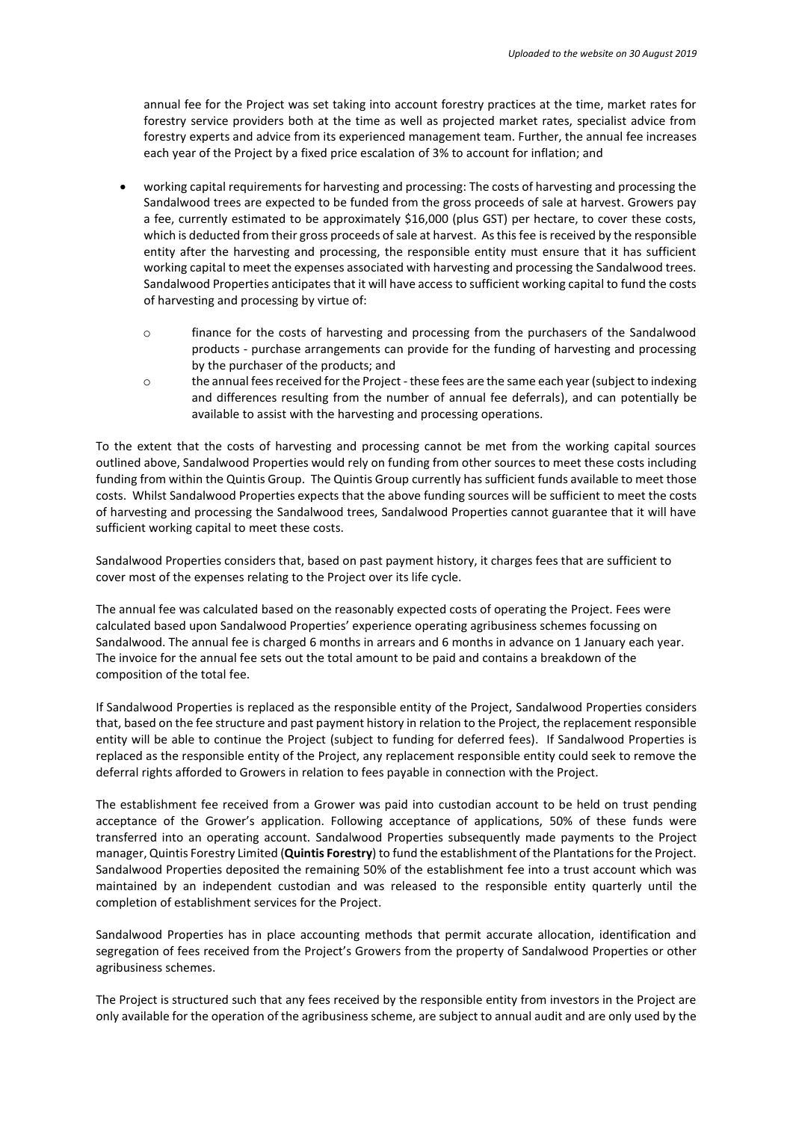annual fee for the Project was set taking into account forestry practices at the time, market rates for forestry service providers both at the time as well as projected market rates, specialist advice from forestry experts and advice from its experienced management team. Further, the annual fee increases each year of the Project by a fixed price escalation of 3% to account for inflation; and

- working capital requirements for harvesting and processing: The costs of harvesting and processing the Sandalwood trees are expected to be funded from the gross proceeds of sale at harvest. Growers pay a fee, currently estimated to be approximately \$16,000 (plus GST) per hectare, to cover these costs, which is deducted from their gross proceeds of sale at harvest. As this fee is received by the responsible entity after the harvesting and processing, the responsible entity must ensure that it has sufficient working capital to meet the expenses associated with harvesting and processing the Sandalwood trees. Sandalwood Properties anticipates that it will have access to sufficient working capital to fund the costs of harvesting and processing by virtue of:
	- o finance for the costs of harvesting and processing from the purchasers of the Sandalwood products - purchase arrangements can provide for the funding of harvesting and processing by the purchaser of the products; and
	- o the annual fees received for the Project -these fees are the same each year (subject to indexing and differences resulting from the number of annual fee deferrals), and can potentially be available to assist with the harvesting and processing operations.

To the extent that the costs of harvesting and processing cannot be met from the working capital sources outlined above, Sandalwood Properties would rely on funding from other sources to meet these costs including funding from within the Quintis Group. The Quintis Group currently has sufficient funds available to meet those costs. Whilst Sandalwood Properties expects that the above funding sources will be sufficient to meet the costs of harvesting and processing the Sandalwood trees, Sandalwood Properties cannot guarantee that it will have sufficient working capital to meet these costs.

Sandalwood Properties considers that, based on past payment history, it charges fees that are sufficient to cover most of the expenses relating to the Project over its life cycle.

The annual fee was calculated based on the reasonably expected costs of operating the Project. Fees were calculated based upon Sandalwood Properties' experience operating agribusiness schemes focussing on Sandalwood. The annual fee is charged 6 months in arrears and 6 months in advance on 1 January each year. The invoice for the annual fee sets out the total amount to be paid and contains a breakdown of the composition of the total fee.

If Sandalwood Properties is replaced as the responsible entity of the Project, Sandalwood Properties considers that, based on the fee structure and past payment history in relation to the Project, the replacement responsible entity will be able to continue the Project (subject to funding for deferred fees). If Sandalwood Properties is replaced as the responsible entity of the Project, any replacement responsible entity could seek to remove the deferral rights afforded to Growers in relation to fees payable in connection with the Project.

The establishment fee received from a Grower was paid into custodian account to be held on trust pending acceptance of the Grower's application. Following acceptance of applications, 50% of these funds were transferred into an operating account. Sandalwood Properties subsequently made payments to the Project manager, Quintis Forestry Limited (**Quintis Forestry**) to fund the establishment of the Plantations for the Project. Sandalwood Properties deposited the remaining 50% of the establishment fee into a trust account which was maintained by an independent custodian and was released to the responsible entity quarterly until the completion of establishment services for the Project.

Sandalwood Properties has in place accounting methods that permit accurate allocation, identification and segregation of fees received from the Project's Growers from the property of Sandalwood Properties or other agribusiness schemes.

The Project is structured such that any fees received by the responsible entity from investors in the Project are only available for the operation of the agribusiness scheme, are subject to annual audit and are only used by the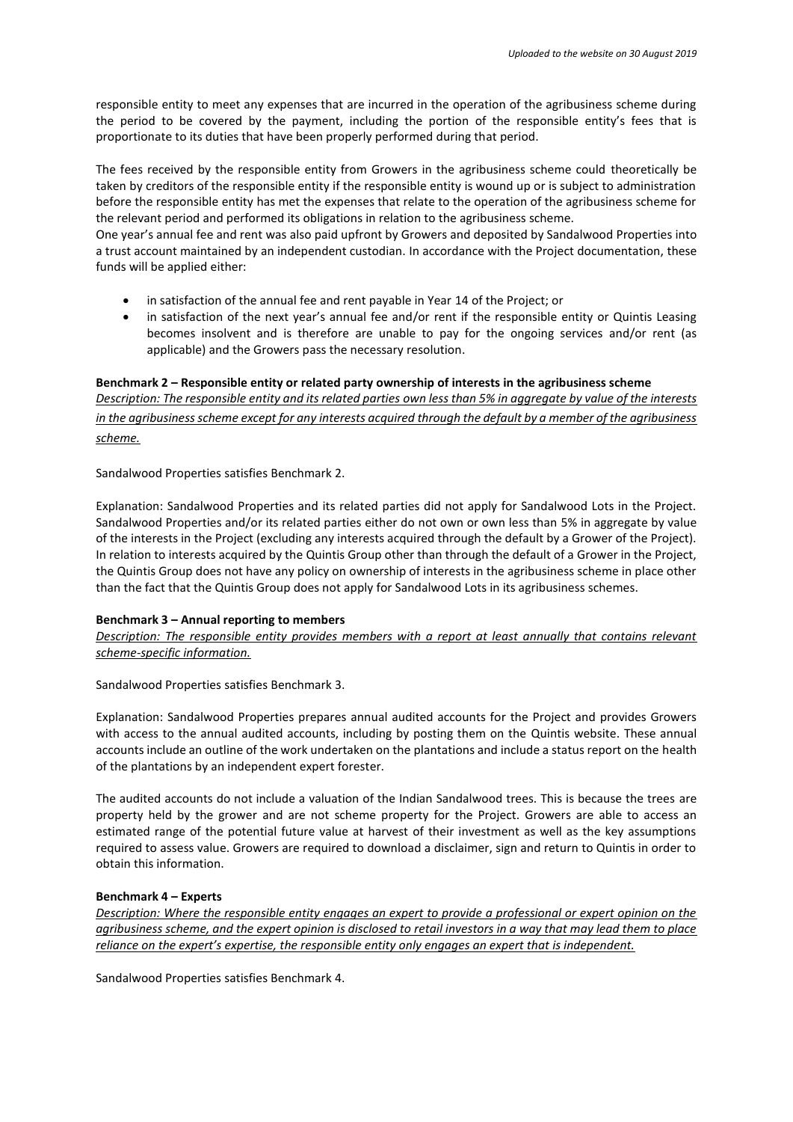responsible entity to meet any expenses that are incurred in the operation of the agribusiness scheme during the period to be covered by the payment, including the portion of the responsible entity's fees that is proportionate to its duties that have been properly performed during that period.

The fees received by the responsible entity from Growers in the agribusiness scheme could theoretically be taken by creditors of the responsible entity if the responsible entity is wound up or is subject to administration before the responsible entity has met the expenses that relate to the operation of the agribusiness scheme for the relevant period and performed its obligations in relation to the agribusiness scheme.

One year's annual fee and rent was also paid upfront by Growers and deposited by Sandalwood Properties into a trust account maintained by an independent custodian. In accordance with the Project documentation, these funds will be applied either:

- in satisfaction of the annual fee and rent payable in Year 14 of the Project; or
- in satisfaction of the next year's annual fee and/or rent if the responsible entity or Quintis Leasing becomes insolvent and is therefore are unable to pay for the ongoing services and/or rent (as applicable) and the Growers pass the necessary resolution.

## **Benchmark 2 – Responsible entity or related party ownership of interests in the agribusiness scheme** *Description: The responsible entity and its related parties own less than 5% in aggregate by value of the interests in the agribusiness scheme except for any interests acquired through the default by a member of the agribusiness scheme.*

Sandalwood Properties satisfies Benchmark 2.

Explanation: Sandalwood Properties and its related parties did not apply for Sandalwood Lots in the Project. Sandalwood Properties and/or its related parties either do not own or own less than 5% in aggregate by value of the interests in the Project (excluding any interests acquired through the default by a Grower of the Project). In relation to interests acquired by the Quintis Group other than through the default of a Grower in the Project, the Quintis Group does not have any policy on ownership of interests in the agribusiness scheme in place other than the fact that the Quintis Group does not apply for Sandalwood Lots in its agribusiness schemes.

#### **Benchmark 3 – Annual reporting to members**

*Description: The responsible entity provides members with a report at least annually that contains relevant scheme-specific information.* 

Sandalwood Properties satisfies Benchmark 3.

Explanation: Sandalwood Properties prepares annual audited accounts for the Project and provides Growers with access to the annual audited accounts, including by posting them on the Quintis website. These annual accounts include an outline of the work undertaken on the plantations and include a status report on the health of the plantations by an independent expert forester.

The audited accounts do not include a valuation of the Indian Sandalwood trees. This is because the trees are property held by the grower and are not scheme property for the Project. Growers are able to access an estimated range of the potential future value at harvest of their investment as well as the key assumptions required to assess value. Growers are required to download a disclaimer, sign and return to Quintis in order to obtain this information.

#### **Benchmark 4 – Experts**

*Description: Where the responsible entity engages an expert to provide a professional or expert opinion on the agribusiness scheme, and the expert opinion is disclosed to retail investors in a way that may lead them to place reliance on the expert's expertise, the responsible entity only engages an expert that is independent.* 

Sandalwood Properties satisfies Benchmark 4.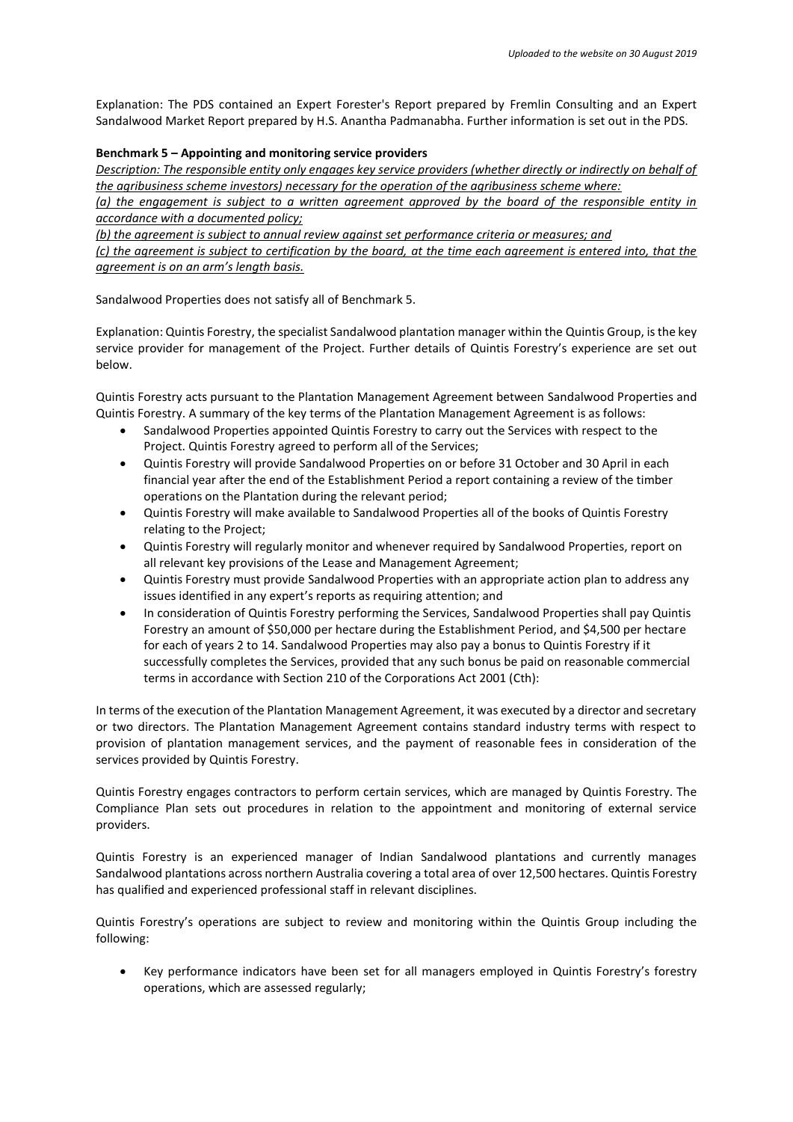Explanation: The PDS contained an Expert Forester's Report prepared by Fremlin Consulting and an Expert Sandalwood Market Report prepared by H.S. Anantha Padmanabha. Further information is set out in the PDS.

#### **Benchmark 5 – Appointing and monitoring service providers**

*Description: The responsible entity only engages key service providers (whether directly or indirectly on behalf of the agribusiness scheme investors) necessary for the operation of the agribusiness scheme where:* 

*(a) the engagement is subject to a written agreement approved by the board of the responsible entity in accordance with a documented policy;* 

*(b) the agreement is subject to annual review against set performance criteria or measures; and* 

*(c) the agreement is subject to certification by the board, at the time each agreement is entered into, that the agreement is on an arm's length basis.*

Sandalwood Properties does not satisfy all of Benchmark 5.

Explanation: Quintis Forestry, the specialist Sandalwood plantation manager within the Quintis Group, is the key service provider for management of the Project. Further details of Quintis Forestry's experience are set out below.

Quintis Forestry acts pursuant to the Plantation Management Agreement between Sandalwood Properties and Quintis Forestry. A summary of the key terms of the Plantation Management Agreement is as follows:

- Sandalwood Properties appointed Quintis Forestry to carry out the Services with respect to the Project. Quintis Forestry agreed to perform all of the Services;
- Quintis Forestry will provide Sandalwood Properties on or before 31 October and 30 April in each financial year after the end of the Establishment Period a report containing a review of the timber operations on the Plantation during the relevant period;
- Quintis Forestry will make available to Sandalwood Properties all of the books of Quintis Forestry relating to the Project;
- Quintis Forestry will regularly monitor and whenever required by Sandalwood Properties, report on all relevant key provisions of the Lease and Management Agreement;
- Quintis Forestry must provide Sandalwood Properties with an appropriate action plan to address any issues identified in any expert's reports as requiring attention; and
- In consideration of Quintis Forestry performing the Services, Sandalwood Properties shall pay Quintis Forestry an amount of \$50,000 per hectare during the Establishment Period, and \$4,500 per hectare for each of years 2 to 14. Sandalwood Properties may also pay a bonus to Quintis Forestry if it successfully completes the Services, provided that any such bonus be paid on reasonable commercial terms in accordance with Section 210 of the Corporations Act 2001 (Cth):

In terms of the execution of the Plantation Management Agreement, it was executed by a director and secretary or two directors. The Plantation Management Agreement contains standard industry terms with respect to provision of plantation management services, and the payment of reasonable fees in consideration of the services provided by Quintis Forestry.

Quintis Forestry engages contractors to perform certain services, which are managed by Quintis Forestry. The Compliance Plan sets out procedures in relation to the appointment and monitoring of external service providers.

Quintis Forestry is an experienced manager of Indian Sandalwood plantations and currently manages Sandalwood plantations across northern Australia covering a total area of over 12,500 hectares. Quintis Forestry has qualified and experienced professional staff in relevant disciplines.

Quintis Forestry's operations are subject to review and monitoring within the Quintis Group including the following:

• Key performance indicators have been set for all managers employed in Quintis Forestry's forestry operations, which are assessed regularly;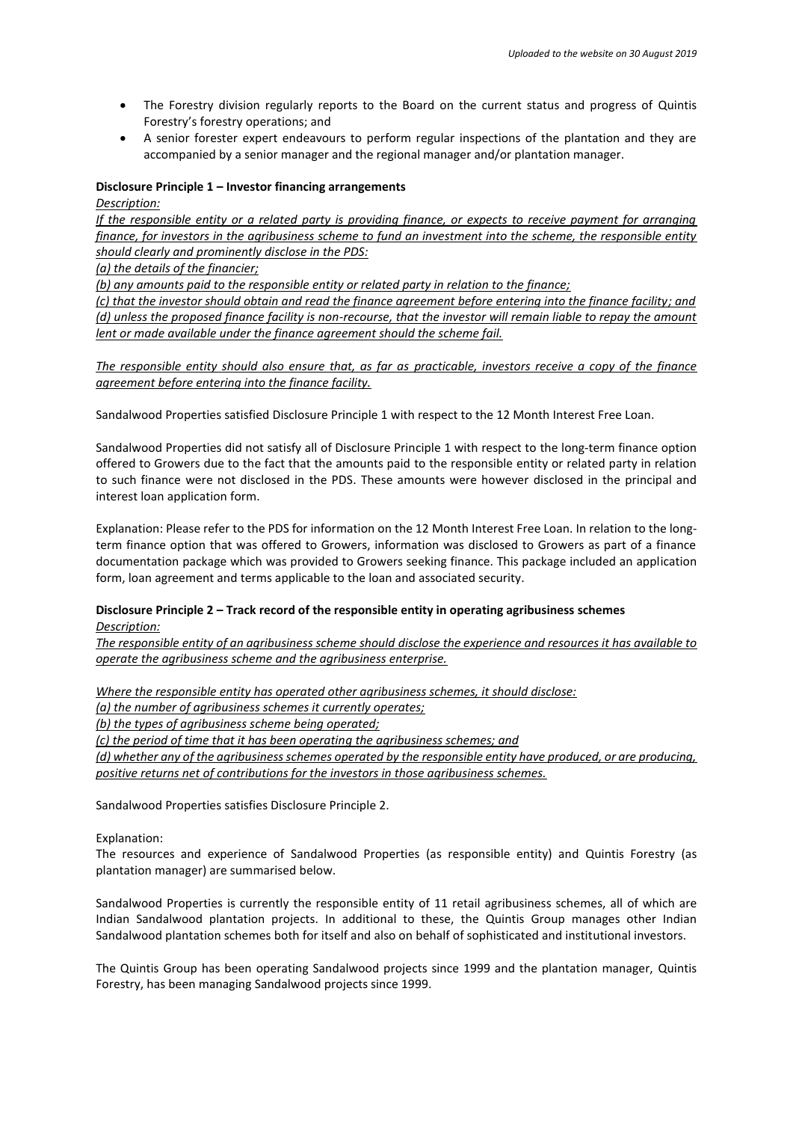- The Forestry division regularly reports to the Board on the current status and progress of Quintis Forestry's forestry operations; and
- A senior forester expert endeavours to perform regular inspections of the plantation and they are accompanied by a senior manager and the regional manager and/or plantation manager.

#### **Disclosure Principle 1 – Investor financing arrangements**

#### *Description:*

*If the responsible entity or a related party is providing finance, or expects to receive payment for arranging finance, for investors in the agribusiness scheme to fund an investment into the scheme, the responsible entity should clearly and prominently disclose in the PDS:* 

*(a) the details of the financier;* 

*(b) any amounts paid to the responsible entity or related party in relation to the finance;* 

*(c) that the investor should obtain and read the finance agreement before entering into the finance facility; and (d) unless the proposed finance facility is non-recourse, that the investor will remain liable to repay the amount lent or made available under the finance agreement should the scheme fail.* 

*The responsible entity should also ensure that, as far as practicable, investors receive a copy of the finance agreement before entering into the finance facility.* 

Sandalwood Properties satisfied Disclosure Principle 1 with respect to the 12 Month Interest Free Loan.

Sandalwood Properties did not satisfy all of Disclosure Principle 1 with respect to the long-term finance option offered to Growers due to the fact that the amounts paid to the responsible entity or related party in relation to such finance were not disclosed in the PDS. These amounts were however disclosed in the principal and interest loan application form.

Explanation: Please refer to the PDS for information on the 12 Month Interest Free Loan. In relation to the longterm finance option that was offered to Growers, information was disclosed to Growers as part of a finance documentation package which was provided to Growers seeking finance. This package included an application form, loan agreement and terms applicable to the loan and associated security.

### **Disclosure Principle 2 – Track record of the responsible entity in operating agribusiness schemes** *Description:*

*The responsible entity of an agribusiness scheme should disclose the experience and resources it has available to operate the agribusiness scheme and the agribusiness enterprise.* 

*Where the responsible entity has operated other agribusiness schemes, it should disclose:* 

*(a) the number of agribusiness schemes it currently operates;* 

*(b) the types of agribusiness scheme being operated;* 

*(c) the period of time that it has been operating the agribusiness schemes; and* 

*(d) whether any of the agribusiness schemes operated by the responsible entity have produced, or are producing, positive returns net of contributions for the investors in those agribusiness schemes.* 

Sandalwood Properties satisfies Disclosure Principle 2.

#### Explanation:

The resources and experience of Sandalwood Properties (as responsible entity) and Quintis Forestry (as plantation manager) are summarised below.

Sandalwood Properties is currently the responsible entity of 11 retail agribusiness schemes, all of which are Indian Sandalwood plantation projects. In additional to these, the Quintis Group manages other Indian Sandalwood plantation schemes both for itself and also on behalf of sophisticated and institutional investors.

The Quintis Group has been operating Sandalwood projects since 1999 and the plantation manager, Quintis Forestry, has been managing Sandalwood projects since 1999.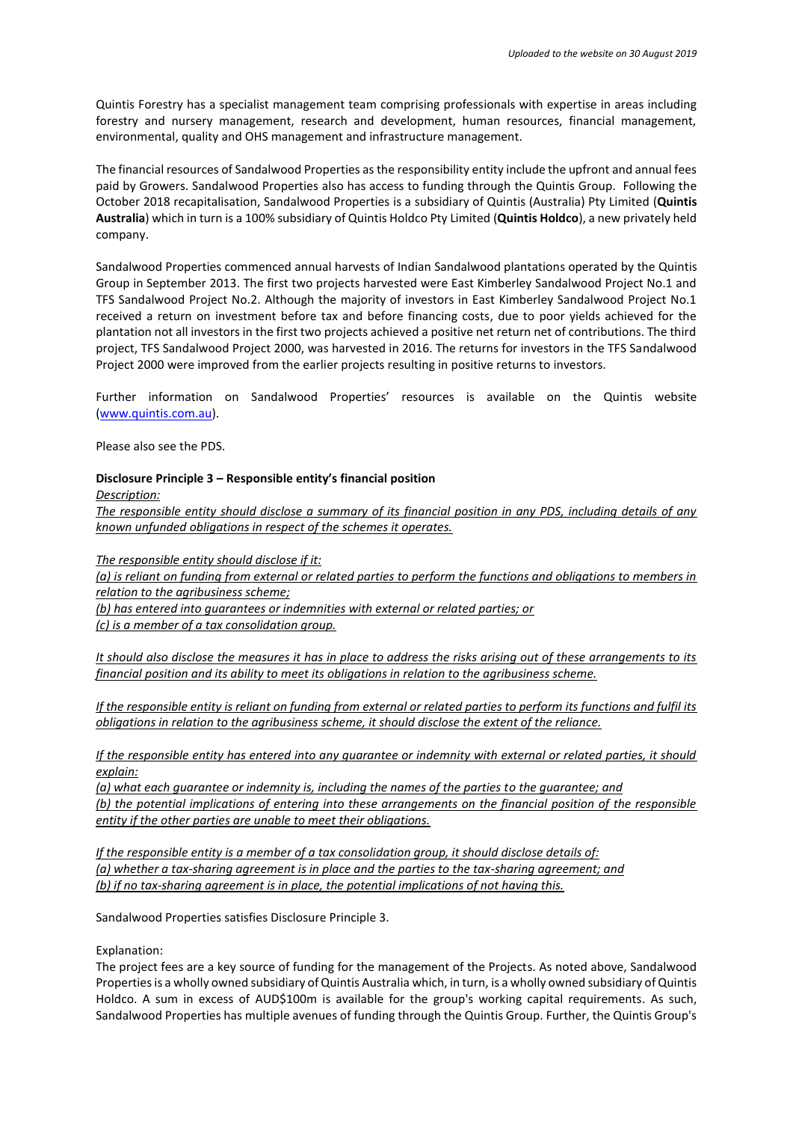Quintis Forestry has a specialist management team comprising professionals with expertise in areas including forestry and nursery management, research and development, human resources, financial management, environmental, quality and OHS management and infrastructure management.

The financial resources of Sandalwood Properties as the responsibility entity include the upfront and annual fees paid by Growers. Sandalwood Properties also has access to funding through the Quintis Group. Following the October 2018 recapitalisation, Sandalwood Properties is a subsidiary of Quintis (Australia) Pty Limited (**Quintis Australia**) which in turn is a 100% subsidiary of Quintis Holdco Pty Limited (**Quintis Holdco**), a new privately held company.

Sandalwood Properties commenced annual harvests of Indian Sandalwood plantations operated by the Quintis Group in September 2013. The first two projects harvested were East Kimberley Sandalwood Project No.1 and TFS Sandalwood Project No.2. Although the majority of investors in East Kimberley Sandalwood Project No.1 received a return on investment before tax and before financing costs, due to poor yields achieved for the plantation not all investors in the first two projects achieved a positive net return net of contributions. The third project, TFS Sandalwood Project 2000, was harvested in 2016. The returns for investors in the TFS Sandalwood Project 2000 were improved from the earlier projects resulting in positive returns to investors.

Further information on Sandalwood Properties' resources is available on the Quintis website [\(www.quintis.com.au\)](http://www.quintis.com.au/).

Please also see the PDS.

#### **Disclosure Principle 3 – Responsible entity's financial position**

*Description:* 

*The responsible entity should disclose a summary of its financial position in any PDS, including details of any known unfunded obligations in respect of the schemes it operates.*

*The responsible entity should disclose if it:* 

*(a) is reliant on funding from external or related parties to perform the functions and obligations to members in relation to the agribusiness scheme;* 

*(b) has entered into guarantees or indemnities with external or related parties; or (c) is a member of a tax consolidation group.* 

*It should also disclose the measures it has in place to address the risks arising out of these arrangements to its financial position and its ability to meet its obligations in relation to the agribusiness scheme.* 

*If the responsible entity is reliant on funding from external or related parties to perform its functions and fulfil its obligations in relation to the agribusiness scheme, it should disclose the extent of the reliance.* 

*If the responsible entity has entered into any quarantee or indemnity with external or related parties, it should explain:* 

*(a) what each guarantee or indemnity is, including the names of the parties to the guarantee; and (b) the potential implications of entering into these arrangements on the financial position of the responsible entity if the other parties are unable to meet their obligations.* 

*If the responsible entity is a member of a tax consolidation group, it should disclose details of: (a) whether a tax-sharing agreement is in place and the parties to the tax-sharing agreement; and (b) if no tax-sharing agreement is in place, the potential implications of not having this.* 

Sandalwood Properties satisfies Disclosure Principle 3.

Explanation:

The project fees are a key source of funding for the management of the Projects. As noted above, Sandalwood Properties is a wholly owned subsidiary of Quintis Australia which, in turn, is a wholly owned subsidiary of Quintis Holdco. A sum in excess of AUD\$100m is available for the group's working capital requirements. As such, Sandalwood Properties has multiple avenues of funding through the Quintis Group. Further, the Quintis Group's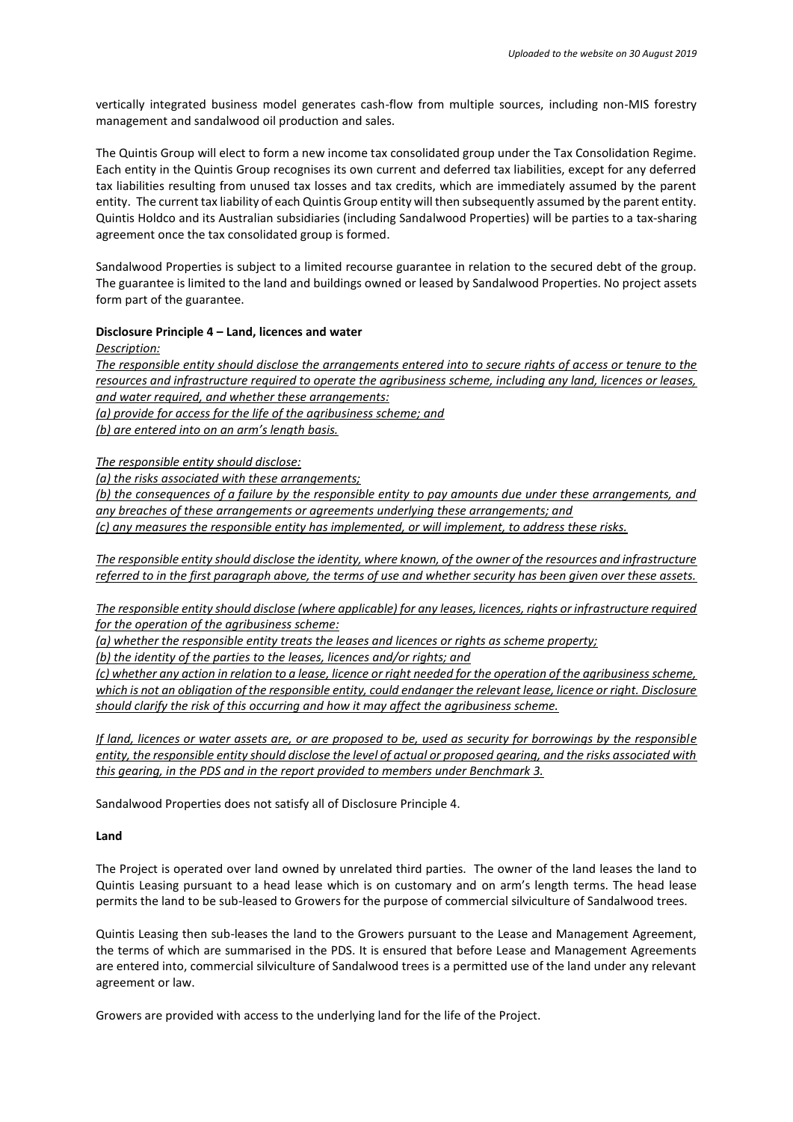vertically integrated business model generates cash-flow from multiple sources, including non-MIS forestry management and sandalwood oil production and sales.

The Quintis Group will elect to form a new income tax consolidated group under the Tax Consolidation Regime. Each entity in the Quintis Group recognises its own current and deferred tax liabilities, except for any deferred tax liabilities resulting from unused tax losses and tax credits, which are immediately assumed by the parent entity. The current tax liability of each Quintis Group entity will then subsequently assumed by the parent entity. Quintis Holdco and its Australian subsidiaries (including Sandalwood Properties) will be parties to a tax-sharing agreement once the tax consolidated group is formed.

Sandalwood Properties is subject to a limited recourse guarantee in relation to the secured debt of the group. The guarantee is limited to the land and buildings owned or leased by Sandalwood Properties. No project assets form part of the guarantee.

#### **Disclosure Principle 4 – Land, licences and water**

*Description:* 

*The responsible entity should disclose the arrangements entered into to secure rights of access or tenure to the resources and infrastructure required to operate the agribusiness scheme, including any land, licences or leases, and water required, and whether these arrangements: (a) provide for access for the life of the agribusiness scheme; and (b) are entered into on an arm's length basis.* 

*The responsible entity should disclose:* 

*(a) the risks associated with these arrangements;* 

*(b) the consequences of a failure by the responsible entity to pay amounts due under these arrangements, and any breaches of these arrangements or agreements underlying these arrangements; and* 

*(c) any measures the responsible entity has implemented, or will implement, to address these risks.* 

*The responsible entity should disclose the identity, where known, of the owner of the resources and infrastructure referred to in the first paragraph above, the terms of use and whether security has been given over these assets.* 

*The responsible entity should disclose (where applicable) for any leases, licences, rights or infrastructure required for the operation of the agribusiness scheme:* 

*(a) whether the responsible entity treats the leases and licences or rights as scheme property;* 

*(b) the identity of the parties to the leases, licences and/or rights; and* 

*(c) whether any action in relation to a lease, licence or right needed for the operation of the agribusiness scheme, which is not an obligation of the responsible entity, could endanger the relevant lease, licence or right. Disclosure should clarify the risk of this occurring and how it may affect the agribusiness scheme.*

*If land, licences or water assets are, or are proposed to be, used as security for borrowings by the responsible entity, the responsible entity should disclose the level of actual or proposed gearing, and the risks associated with this gearing, in the PDS and in the report provided to members under Benchmark 3.* 

Sandalwood Properties does not satisfy all of Disclosure Principle 4.

#### **Land**

The Project is operated over land owned by unrelated third parties. The owner of the land leases the land to Quintis Leasing pursuant to a head lease which is on customary and on arm's length terms. The head lease permits the land to be sub-leased to Growers for the purpose of commercial silviculture of Sandalwood trees.

Quintis Leasing then sub-leases the land to the Growers pursuant to the Lease and Management Agreement, the terms of which are summarised in the PDS. It is ensured that before Lease and Management Agreements are entered into, commercial silviculture of Sandalwood trees is a permitted use of the land under any relevant agreement or law.

Growers are provided with access to the underlying land for the life of the Project.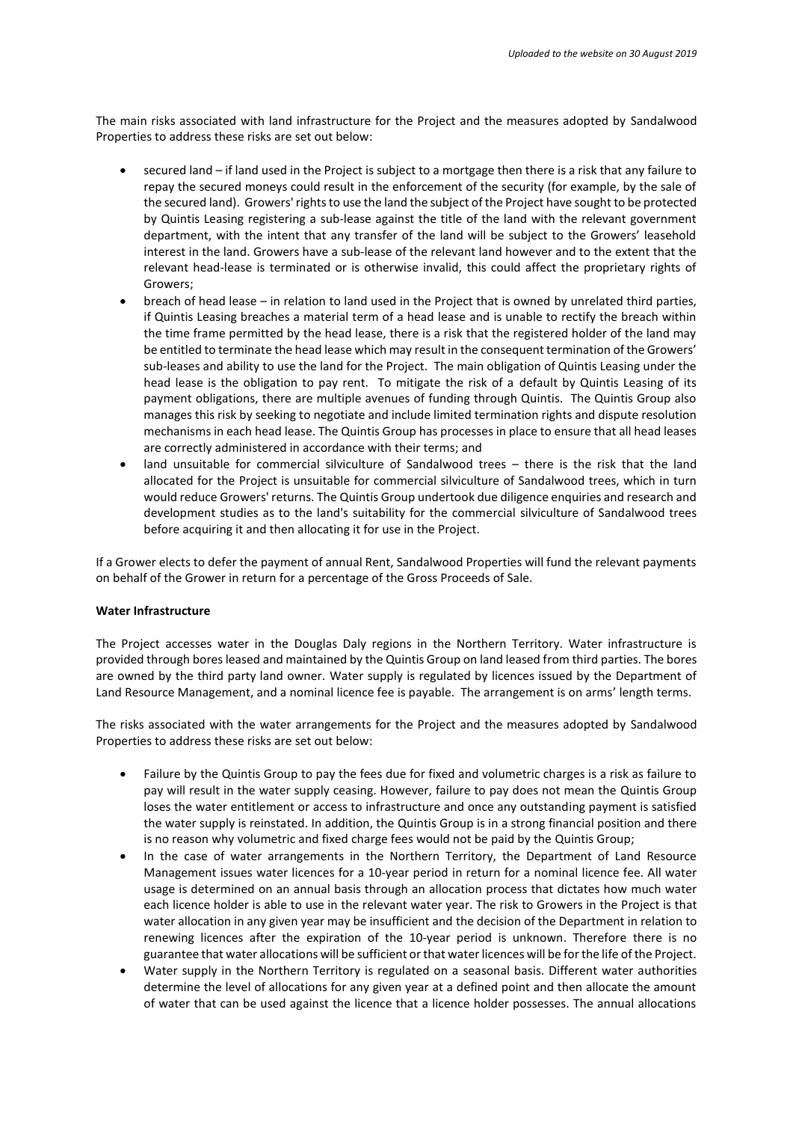The main risks associated with land infrastructure for the Project and the measures adopted by Sandalwood Properties to address these risks are set out below:

- secured land if land used in the Project is subject to a mortgage then there is a risk that any failure to repay the secured moneys could result in the enforcement of the security (for example, by the sale of the secured land). Growers' rights to use the land the subject of the Project have sought to be protected by Quintis Leasing registering a sub-lease against the title of the land with the relevant government department, with the intent that any transfer of the land will be subject to the Growers' leasehold interest in the land. Growers have a sub-lease of the relevant land however and to the extent that the relevant head-lease is terminated or is otherwise invalid, this could affect the proprietary rights of Growers;
- breach of head lease in relation to land used in the Project that is owned by unrelated third parties, if Quintis Leasing breaches a material term of a head lease and is unable to rectify the breach within the time frame permitted by the head lease, there is a risk that the registered holder of the land may be entitled to terminate the head lease which may result in the consequent termination of the Growers' sub-leases and ability to use the land for the Project. The main obligation of Quintis Leasing under the head lease is the obligation to pay rent. To mitigate the risk of a default by Quintis Leasing of its payment obligations, there are multiple avenues of funding through Quintis. The Quintis Group also manages this risk by seeking to negotiate and include limited termination rights and dispute resolution mechanisms in each head lease. The Quintis Group has processes in place to ensure that all head leases are correctly administered in accordance with their terms; and
- land unsuitable for commercial silviculture of Sandalwood trees there is the risk that the land allocated for the Project is unsuitable for commercial silviculture of Sandalwood trees, which in turn would reduce Growers' returns. The Quintis Group undertook due diligence enquiries and research and development studies as to the land's suitability for the commercial silviculture of Sandalwood trees before acquiring it and then allocating it for use in the Project.

If a Grower elects to defer the payment of annual Rent, Sandalwood Properties will fund the relevant payments on behalf of the Grower in return for a percentage of the Gross Proceeds of Sale.

#### **Water Infrastructure**

The Project accesses water in the Douglas Daly regions in the Northern Territory. Water infrastructure is provided through bores leased and maintained by the Quintis Group on land leased from third parties. The bores are owned by the third party land owner. Water supply is regulated by licences issued by the Department of Land Resource Management, and a nominal licence fee is payable. The arrangement is on arms' length terms.

The risks associated with the water arrangements for the Project and the measures adopted by Sandalwood Properties to address these risks are set out below:

- Failure by the Quintis Group to pay the fees due for fixed and volumetric charges is a risk as failure to pay will result in the water supply ceasing. However, failure to pay does not mean the Quintis Group loses the water entitlement or access to infrastructure and once any outstanding payment is satisfied the water supply is reinstated. In addition, the Quintis Group is in a strong financial position and there is no reason why volumetric and fixed charge fees would not be paid by the Quintis Group;
- In the case of water arrangements in the Northern Territory, the Department of Land Resource Management issues water licences for a 10-year period in return for a nominal licence fee. All water usage is determined on an annual basis through an allocation process that dictates how much water each licence holder is able to use in the relevant water year. The risk to Growers in the Project is that water allocation in any given year may be insufficient and the decision of the Department in relation to renewing licences after the expiration of the 10-year period is unknown. Therefore there is no guarantee that water allocations will be sufficient or that water licences will be for the life of the Project.
- Water supply in the Northern Territory is regulated on a seasonal basis. Different water authorities determine the level of allocations for any given year at a defined point and then allocate the amount of water that can be used against the licence that a licence holder possesses. The annual allocations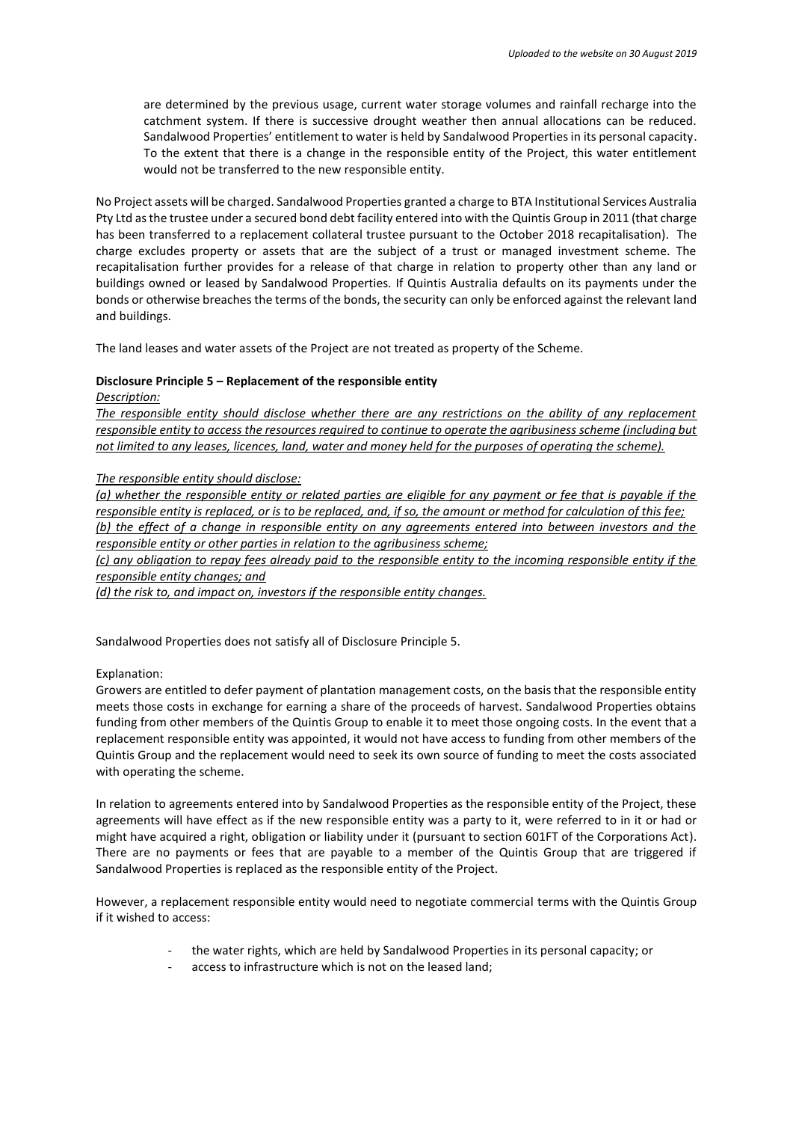are determined by the previous usage, current water storage volumes and rainfall recharge into the catchment system. If there is successive drought weather then annual allocations can be reduced. Sandalwood Properties' entitlement to water is held by Sandalwood Properties in its personal capacity. To the extent that there is a change in the responsible entity of the Project, this water entitlement would not be transferred to the new responsible entity.

No Project assets will be charged. Sandalwood Properties granted a charge to BTA Institutional Services Australia Pty Ltd as the trustee under a secured bond debt facility entered into with the Quintis Group in 2011 (that charge has been transferred to a replacement collateral trustee pursuant to the October 2018 recapitalisation). The charge excludes property or assets that are the subject of a trust or managed investment scheme. The recapitalisation further provides for a release of that charge in relation to property other than any land or buildings owned or leased by Sandalwood Properties. If Quintis Australia defaults on its payments under the bonds or otherwise breaches the terms of the bonds, the security can only be enforced against the relevant land and buildings.

The land leases and water assets of the Project are not treated as property of the Scheme.

#### **Disclosure Principle 5 – Replacement of the responsible entity**

*Description:* 

*The responsible entity should disclose whether there are any restrictions on the ability of any replacement responsible entity to access the resources required to continue to operate the agribusiness scheme (including but not limited to any leases, licences, land, water and money held for the purposes of operating the scheme).* 

#### *The responsible entity should disclose:*

*(a) whether the responsible entity or related parties are eligible for any payment or fee that is payable if the responsible entity is replaced, or is to be replaced, and, if so, the amount or method for calculation of this fee; (b) the effect of a change in responsible entity on any agreements entered into between investors and the responsible entity or other parties in relation to the agribusiness scheme;* 

*(c) any obligation to repay fees already paid to the responsible entity to the incoming responsible entity if the responsible entity changes; and* 

*(d) the risk to, and impact on, investors if the responsible entity changes.* 

Sandalwood Properties does not satisfy all of Disclosure Principle 5.

#### Explanation:

Growers are entitled to defer payment of plantation management costs, on the basis that the responsible entity meets those costs in exchange for earning a share of the proceeds of harvest. Sandalwood Properties obtains funding from other members of the Quintis Group to enable it to meet those ongoing costs. In the event that a replacement responsible entity was appointed, it would not have access to funding from other members of the Quintis Group and the replacement would need to seek its own source of funding to meet the costs associated with operating the scheme.

In relation to agreements entered into by Sandalwood Properties as the responsible entity of the Project, these agreements will have effect as if the new responsible entity was a party to it, were referred to in it or had or might have acquired a right, obligation or liability under it (pursuant to section 601FT of the Corporations Act). There are no payments or fees that are payable to a member of the Quintis Group that are triggered if Sandalwood Properties is replaced as the responsible entity of the Project.

However, a replacement responsible entity would need to negotiate commercial terms with the Quintis Group if it wished to access:

- the water rights, which are held by Sandalwood Properties in its personal capacity; or
- access to infrastructure which is not on the leased land;